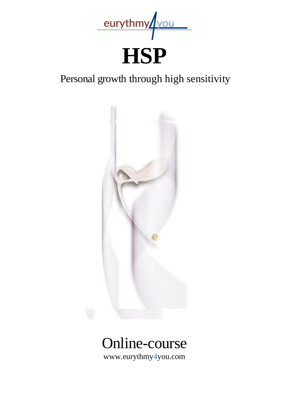

# **HSP**

# Personal growth through high sensitivity



# Online-course

www.eurythmy4you.com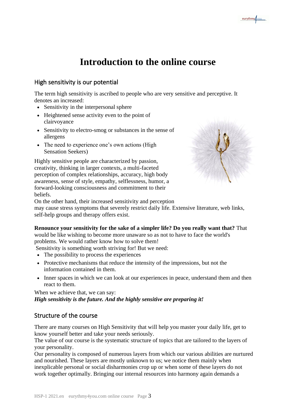# **Introduction to the online course**

# High sensitivity is our potential

The term high sensitivity is ascribed to people who are very sensitive and perceptive. It denotes an increased:

- Sensitivity in the interpersonal sphere
- Heightened sense activity even to the point of clairvoyance
- Sensitivity to electro-smog or substances in the sense of allergens
- The need to experience one's own actions (High Sensation Seekers)

Highly sensitive people are characterized by passion, creativity, thinking in larger contexts, a multi-faceted perception of complex relationships, accuracy, high body awareness, sense of style, empathy, selflessness, humor, a forward-looking consciousness and commitment to their beliefs.



On the other hand, their increased sensitivity and perception may cause stress symptoms that severely restrict daily life. Extensive literature, web links, self-help groups and therapy offers exist.

#### **Renounce your sensitivity for the sake of a simpler life? Do you really want that?** That

would be like wishing to become more unaware so as not to have to face the world's problems. We would rather know how to solve them!

Sensitivity is something worth striving for! But we need:

- The possibility to process the experiences
- Protective mechanisms that reduce the intensity of the impressions, but not the information contained in them.
- Inner spaces in which we can look at our experiences in peace, understand them and then react to them.

When we achieve that, we can say: *High sensitivity is the future. And the highly sensitive are preparing it!* 

# Structure of the course

There are many courses on High Sensitivity that will help you master your daily life, get to know yourself better and take your needs seriously.

The value of our course is the systematic structure of topics that are tailored to the layers of your personality.

Our personality is composed of numerous layers from which our various abilities are nurtured and nourished. These layers are mostly unknown to us; we notice them mainly when inexplicable personal or social disharmonies crop up or when some of these layers do not work together optimally. Bringing our internal resources into harmony again demands a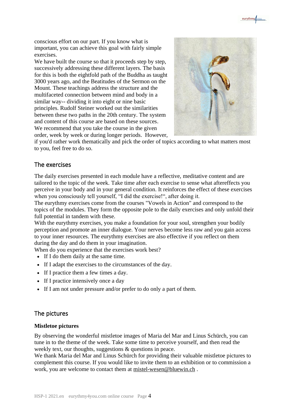conscious effort on our part. If you know what is important, you can achieve this goal with fairly simple exercises.

We have built the course so that it proceeds step by step, successively addressing these different layers. The basis for this is both the eightfold path of the Buddha as taught 3000 years ago, and the Beatitudes of the Sermon on the Mount. These teachings address the structure and the multifaceted connection between mind and body in a similar way-- dividing it into eight or nine basic principles. Rudolf Steiner worked out the similarities between these two paths in the 20th century. The system and content of this course are based on these sources. We recommend that you take the course in the given order, week by week or during longer periods. However,



eurythmy/vou

if you'd rather work thematically and pick the order of topics according to what matters most to you, feel free to do so.

#### The exercises

The daily exercises presented in each module have a reflective, meditative content and are tailored to the topic of the week. Take time after each exercise to sense what aftereffects you perceive in your body and in your general condition. It reinforces the effect of these exercises when you consciously tell yourself, "I did the exercise!", after doing it.

The eurythmy exercises come from the courses "Vowels in Action" and correspond to the topics of the modules. They form the opposite pole to the daily exercises and only unfold their full potential in tandem with these.

With the eurythmy exercises, you make a foundation for your soul, strengthen your bodily perception and promote an inner dialogue. Your nerves become less raw and you gain access to your inner resources. The eurythmy exercises are also effective if you reflect on them during the day and do them in your imagination.

When do you experience that the exercises work best?

- If I do them daily at the same time.
- If I adapt the exercises to the circumstances of the day.
- If I practice them a few times a day.
- If I practice intensively once a day
- If I am not under pressure and/or prefer to do only a part of them.

#### The pictures

#### **Mistletoe pictures**

By observing the wonderful mistletoe images of Maria del Mar and Linus Schürch, you can tune in to the theme of the week. Take some time to perceive yourself, and then read the weekly text, our thoughts, suggestions & questions in peace.

We thank Maria del Mar and Linus Schürch for providing their valuable mistletoe pictures to complement this course. If you would like to invite them to an exhibition or to commission a work, you are welcome to contact them at [mistel-wesen@bluewin.ch](mailto:mistel-wesen@bluewin.ch) .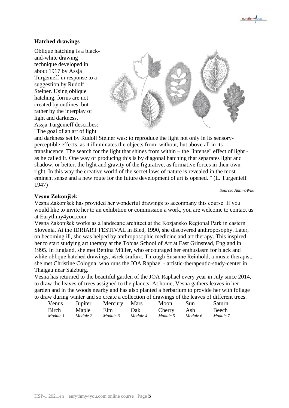#### **Hatched drawings**

Oblique hatching is a blackand-white drawing technique developed in about 1917 by Assja Turgenieff in response to a suggestion by Rudolf Steiner. Using oblique hatching, forms are not created by outlines, but rather by the interplay of light and darkness. Assja Turgenieff describes: "The goal of an art of light



and darkness set by Rudolf Steiner was: to reproduce the light not only in its sensoryperceptible effects, as it illuminates the objects from without, but above all in its translucence, The search for the light that shines from within – the "intense" effect of light as he called it. One way of producing this is by diagonal hatching that separates light and shadow, or better, the light and gravity of the figurative, as formative forces in their own right. In this way the creative world of the secret laws of nature is revealed in the most eminent sense and a new route for the future development of art is opened. " (L. Turgenieff 1947)

*Source: AnthroWiki*

#### **Vesna Zakonjšek**

Vesna Zakonjšek has provided her wonderful drawings to accompany this course. If you would like to invite her to an exhibition or commission a work, you are welcome to contact us at [Eurythmy4you.com](https://www.eurythmy4you.com/)

Vesna Zakonjšek works as a landscape architect at the Kozjansko Regional Park in eastern Slovenia. At the IDRIART FESTIVAL in Bled, 1990, she discovered anthroposophy. Later, on becoming ill, she was helped by anthroposophic medicine and art therapy. This inspired her to start studying art therapy at the Tobias School of Art at East Grinstead, England in 1995. In England, she met Bettina Müller, who encouraged her enthusiasm for black and white oblique hatched drawings, »šrek šrafur«. Through Susanne Reinhold, a music therapist, she met Christine Cologna, who runs the JOA Raphael - artistic-therapeutic-study-center in Thalgau near Salzburg.

Vesna has returned to the beautiful garden of the JOA Raphael every year in July since 2014, to draw the leaves of trees assigned to the planets. At home, Vesna gathers leaves in her garden and in the woods nearby and has also planted a herbarium to provide her with foliage to draw during winter and so create a collection of drawings of the leaves of different trees.

| Venus        | Jupiter  | Mercury  | Mars     | Moon     | Sun      | Saturn   |
|--------------|----------|----------|----------|----------|----------|----------|
| <b>Birch</b> | Maple    | Elm      | Oak      | Cherry   | Ash      | Beech    |
| Module 1     | Module 2 | Module 3 | Module 4 | Module 5 | Module 6 | Module 7 |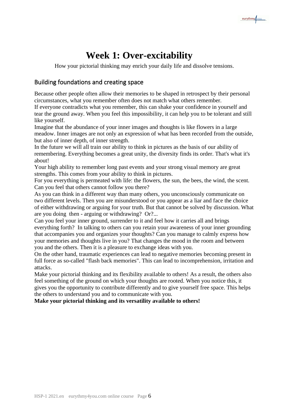

# **Week 1: Over-excitability**

How your pictorial thinking may enrich your daily life and dissolve tensions.

# Building foundations and creating space

Because other people often allow their memories to be shaped in retrospect by their personal circumstances, what you remember often does not match what others remember. If everyone contradicts what you remember, this can shake your confidence in yourself and tear the ground away. When you feel this impossibility, it can help you to be tolerant and still like yourself.

Imagine that the abundance of your inner images and thoughts is like flowers in a large meadow. Inner images are not only an expression of what has been recorded from the outside, but also of inner depth, of inner strength.

In the future we will all train our ability to think in pictures as the basis of our ability of remembering. Everything becomes a great unity, the diversity finds its order. That's what it's about!

Your high ability to remember long past events and your strong visual memory are great strengths. This comes from your ability to think in pictures.

For you everything is permeated with life: the flowers, the sun, the bees, the wind, the scent. Can you feel that others cannot follow you there?

As you can think in a different way than many others, you unconsciously communicate on two different levels. Then you are misunderstood or you appear as a liar and face the choice of either withdrawing or arguing for your truth. But that cannot be solved by discussion. What are you doing then - arguing or withdrawing? Or?...

Can you feel your inner ground, surrender to it and feel how it carries all and brings everything forth? In talking to others can you retain your awareness of your inner grounding that accompanies you and organizes your thoughts? Can you manage to calmly express how your memories and thoughts live in you? That changes the mood in the room and between you and the others. Then it is a pleasure to exchange ideas with you.

On the other hand, traumatic experiences can lead to negative memories becoming present in full force as so-called "flash back memories". This can lead to incomprehension, irritation and attacks.

Make your pictorial thinking and its flexibility available to others! As a result, the others also feel something of the ground on which your thoughts are rooted. When you notice this, it gives you the opportunity to contribute differently and to give yourself free space. This helps the others to understand you and to communicate with you.

**Make your pictorial thinking and its versatility available to others!**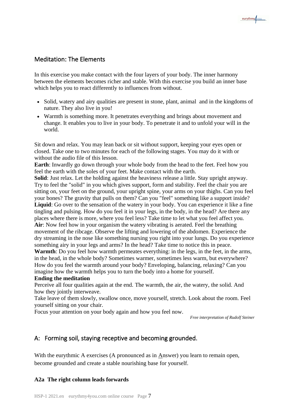# Meditation: The Elements

In this exercise you make contact with the four layers of your body. The inner harmony between the elements becomes richer and stable. With this exercise you build an inner base which helps you to react differently to influences from without.

- Solid, watery and airy qualities are present in stone, plant, animal and in the kingdoms of nature. They also live in you!
- Warmth is something more. It penetrates everything and brings about movement and change. It enables you to live in your body. To penetrate it and to unfold your will in the world.

Sit down and relax. You may lean back or sit without support, keeping your eyes open or closed. Take one to two minutes for each of the following stages. You may do it with or without the audio file of this lesson.

**Earth**: Inwardly go down through your whole body from the head to the feet. Feel how you feel the earth with the soles of your feet. Make contact with the earth.

**Solid**: Just relax. Let the holding against the heaviness release a little. Stay upright anyway. Try to feel the "solid" in you which gives support, form and stability. Feel the chair you are sitting on, your feet on the ground, your upright spine, your arms on your thighs. Can you feel your bones? The gravity that pulls on them? Can you "feel" something like a support inside? **Liquid**: Go over to the sensation of the watery in your body. You can experience it like a fine tingling and pulsing. How do you feel it in your legs, in the body, in the head? Are there any places where there is more, where you feel less? Take time to let what you feel affect you. Air: Now feel how in your organism the watery vibrating is aerated. Feel the breathing movement of the ribcage. Observe the lifting and lowering of the abdomen. Experience the dry streaming in the nose like something nursing you right into your lungs. Do you experience something airy in your legs and arms? In the head? Take time to notice this in peace.

**Warmth**: Do you feel how warmth permeates everything: in the legs, in the feet, in the arms, in the head, in the whole body? Sometimes warmer, sometimes less warm, but everywhere? How do you feel the warmth around your body? Enveloping, balancing, relaxing? Can you imagine how the warmth helps you to turn the body into a home for yourself.

#### **Ending the meditation**

Perceive all four qualities again at the end. The warmth, the air, the watery, the solid. And how they jointly interweave.

Take leave of them slowly, swallow once, move yourself, stretch. Look about the room. Feel yourself sitting on your chair.

Focus your attention on your body again and how you feel now.

*Free interpretation of Rudolf Steiner*

# A: Forming soil, staying receptive and becoming grounded.

With the eurythmic A exercises (A pronounced as in Answer) you learn to remain open, become grounded and create a stable nourishing base for yourself.

# **A2a The right column leads forwards**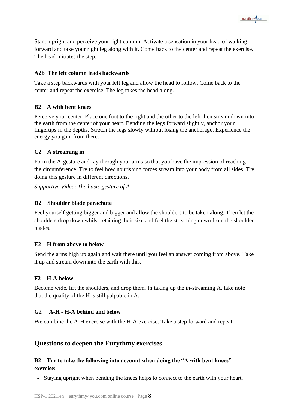Stand upright and perceive your right column. Activate a sensation in your head of walking forward and take your right leg along with it. Come back to the center and repeat the exercise. The head initiates the step.

eurythmy/vou

#### **A2b The left column leads backwards**

Take a step backwards with your left leg and allow the head to follow. Come back to the center and repeat the exercise. The leg takes the head along.

### **B2 A with bent knees**

Perceive your center. Place one foot to the right and the other to the left then stream down into the earth from the center of your heart. Bending the legs forward slightly, anchor your fingertips in the depths. Stretch the legs slowly without losing the anchorage. Experience the energy you gain from there.

#### **C2 A streaming in**

Form the A-gesture and ray through your arms so that you have the impression of reaching the circumference. Try to feel how nourishing forces stream into your body from all sides. Try doing this gesture in different directions.

*Supportive Video*: *The basic gesture of A*

#### **D2 Shoulder blade parachute**

Feel yourself getting bigger and bigger and allow the shoulders to be taken along. Then let the shoulders drop down whilst retaining their size and feel the streaming down from the shoulder blades.

#### **E2 H from above to below**

Send the arms high up again and wait there until you feel an answer coming from above. Take it up and stream down into the earth with this.

#### **F2 H-A below**

Become wide, lift the shoulders, and drop them. In taking up the in-streaming A, take note that the quality of the H is still palpable in A.

#### **G2 A-H - H-A behind and below**

We combine the A-H exercise with the H-A exercise. Take a step forward and repeat.

# **Questions to deepen the Eurythmy exercises**

### **B2 Try to take the following into account when doing the "A with bent knees" exercise:**

• Staying upright when bending the knees helps to connect to the earth with your heart.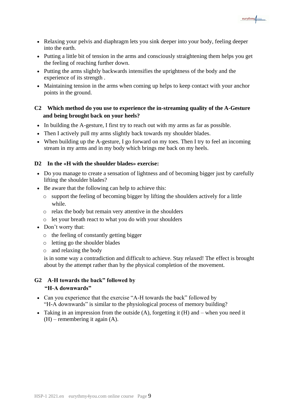

- Relaxing your pelvis and diaphragm lets you sink deeper into your body, feeling deeper into the earth.
- Putting a little bit of tension in the arms and consciously straightening them helps you get the feeling of reaching further down.
- Putting the arms slightly backwards intensifies the uprightness of the body and the experience of its strength .
- Maintaining tension in the arms when coming up helps to keep contact with your anchor points in the ground.

### **C2 Which method do you use to experience the in-streaming quality of the A-Gesture and being brought back on your heels?**

- In building the A-gesture, I first try to reach out with my arms as far as possible.
- Then I actively pull my arms slightly back towards my shoulder blades.
- When building up the A-gesture, I go forward on my toes. Then I try to feel an incoming stream in my arms and in my body which brings me back on my heels.

#### **D2 In the «H with the shoulder blades» exercise:**

- Do you manage to create a sensation of lightness and of becoming bigger just by carefully lifting the shoulder blades?
- Be aware that the following can help to achieve this:
	- o support the feeling of becoming bigger by lifting the shoulders actively for a little while.
	- o relax the body but remain very attentive in the shoulders
	- o let your breath react to what you do with your shoulders
- Don't worry that:
	- o the feeling of constantly getting bigger
	- o letting go the shoulder blades
	- o and relaxing the body

is in some way a contradiction and difficult to achieve. Stay relaxed! The effect is brought about by the attempt rather than by the physical completion of the movement.

#### **G2 A-H towards the back" followed by "H-A downwards"**

- Can you experience that the exercise "A-H towards the back" followed by "H-A downwards" is similar to the physiological process of memory building?
- Taking in an impression from the outside  $(A)$ , forgetting it  $(H)$  and when you need it (H) – remembering it again (A).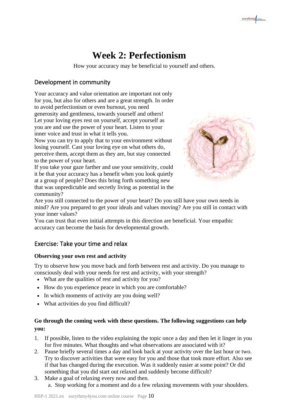# **Week 2: Perfectionism**

How your accuracy may be beneficial to yourself and others.

# Development in community

Your accuracy and value orientation are important not only for you, but also for others and are a great strength. In order to avoid perfectionism or even burnout, you need generosity and gentleness, towards yourself and others! Let your loving eyes rest on yourself, accept yourself as you are and use the power of your heart. Listen to your inner voice and trust in what it tells you.

Now you can try to apply that to your environment without losing yourself. Cast your loving eye on what others do, perceive them, accept them as they are, but stay connected to the power of your heart.

If you take your gaze farther and use your sensitivity, could it be that your accuracy has a benefit when you look quietly at a group of people? Does this bring forth something new that was unpredictable and secretly living as potential in the community?



eurythmy/vou

Are you still connected to the power of your heart? Do you still have your own needs in mind? Are you prepared to get your ideals and values moving? Are you still in contact with your inner values?

You can trust that even initial attempts in this direction are beneficial. Your empathic accuracy can become the basis for developmental growth.

# Exercise: Take your time and relax

#### **Observing your own rest and activity**

Try to observe how you move back and forth between rest and activity. Do you manage to consciously deal with your needs for rest and activity, with your strength?

- What are the qualities of rest and activity for you?
- How do you experience peace in which you are comfortable?
- In which moments of activity are you doing well?
- What activities do you find difficult?

### **Go through the coming week with these questions. The following suggestions can help you:**

- 1. If possible, listen to the video explaining the topic once a day and then let it linger in you for five minutes. What thoughts and what observations are associated with it?
- 2. Pause briefly several times a day and look back at your activity over the last hour or two. Try to discover activities that were easy for you and those that took more effort. Also see if that has changed during the execution. Was it suddenly easier at some point? Or did something that you did start out relaxed and suddenly become difficult?
- 3. Make a goal of relaxing every now and then. a. Stop working for a moment and do a few relaxing movements with your shoulders.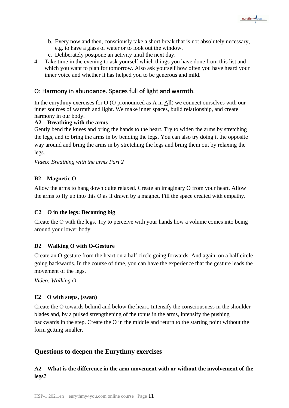

- b. Every now and then, consciously take a short break that is not absolutely necessary, e.g. to have a glass of water or to look out the window.
- c. Deliberately postpone an activity until the next day.
- 4. Take time in the evening to ask yourself which things you have done from this list and which you want to plan for tomorrow. Also ask yourself how often you have heard your inner voice and whether it has helped you to be generous and mild.

# O: Harmony in abundance. Spaces full of light and warmth.

In the eurythmy exercises for  $O$  (O pronounced as A in All) we connect ourselves with our inner sources of warmth and light. We make inner spaces, build relationship, and create harmony in our body.

#### **A2 Breathing with the arms**

Gently bend the knees and bring the hands to the heart. Try to widen the arms by stretching the legs, and to bring the arms in by bending the legs. You can also try doing it the opposite way around and bring the arms in by stretching the legs and bring them out by relaxing the legs.

*Video: Breathing with the arms Part 2*

#### **B2 Magnetic O**

Allow the arms to hang down quite relaxed. Create an imaginary O from your heart. Allow the arms to fly up into this O as if drawn by a magnet. Fill the space created with empathy.

#### **C2 O in the legs: Becoming big**

Create the O with the legs. Try to perceive with your hands how a volume comes into being around your lower body.

#### **D2 Walking O with O-Gesture**

Create an O-gesture from the heart on a half circle going forwards. And again, on a half circle going backwards. In the course of time, you can have the experience that the gesture leads the movement of the legs.

*Video: Walking O*

#### **E2 O with steps, (swan)**

Create the O towards behind and below the heart. Intensify the consciousness in the shoulder blades and, by a pulsed strengthening of the tonus in the arms, intensify the pushing backwards in the step. Create the O in the middle and return to the starting point without the form getting smaller.

# **Questions to deepen the Eurythmy exercises**

### **A2 What is the difference in the arm movement with or without the involvement of the legs?**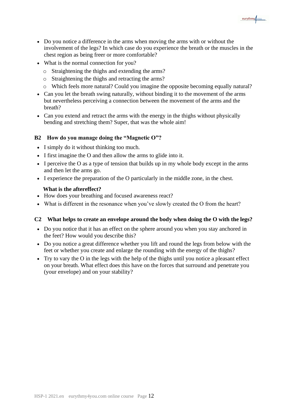• Do you notice a difference in the arms when moving the arms with or without the involvement of the legs? In which case do you experience the breath or the muscles in the chest region as being freer or more comfortable?

eurythmy vou

- What is the normal connection for you?
	- o Straightening the thighs and extending the arms?
	- o Straightening the thighs and retracting the arms?
	- o Which feels more natural? Could you imagine the opposite becoming equally natural?
- Can you let the breath swing naturally, without binding it to the movement of the arms but nevertheless perceiving a connection between the movement of the arms and the breath?
- Can you extend and retract the arms with the energy in the thighs without physically bending and stretching them? Super, that was the whole aim!

#### **B2 How do you manage doing the "Magnetic O"?**

- I simply do it without thinking too much.
- I first imagine the O and then allow the arms to glide into it.
- I perceive the O as a type of tension that builds up in my whole body except in the arms and then let the arms go.
- I experience the preparation of the O particularly in the middle zone, in the chest.

#### **What is the aftereffect?**

- How does your breathing and focused awareness react?
- What is different in the resonance when you've slowly created the O from the heart?

#### **C2 What helps to create an envelope around the body when doing the O with the legs?**

- Do you notice that it has an effect on the sphere around you when you stay anchored in the feet? How would you describe this?
- Do you notice a great difference whether you lift and round the legs from below with the feet or whether you create and enlarge the rounding with the energy of the thighs?
- Try to vary the O in the legs with the help of the thighs until you notice a pleasant effect on your breath. What effect does this have on the forces that surround and penetrate you (your envelope) and on your stability?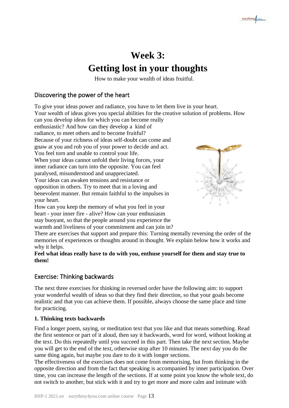# **Week 3: Getting lost in your thoughts**

How to make your wealth of ideas fruitful.

# Discovering the power of the heart

To give your ideas power and radiance, you have to let them live in your heart.

Your wealth of ideas gives you special abilities for the creative solution of problems. How

can you develop ideas for which you can become really

enthusiastic? And how can they develop a kind of

radiance, to meet others and to become fruitful?

Because of your richness of ideas self-doubt can come and gnaw at you and rob you of your power to decide and act.

You feel torn and unable to control your life.

When your ideas cannot unfold their living forces, your inner radiance can turn into the opposite. You can feel paralysed, misunderstood and unappreciated.

Your ideas can awaken tensions and resistance or opposition in others. Try to meet that in a loving and benevolent manner. But remain faithful to the impulses in your heart.

How can you keep the memory of what you feel in your heart - your inner fire - alive? How can your enthusiasm stay buoyant, so that the people around you experience the warmth and liveliness of your commitment and can join in?



There are exercises that support and prepare this: Turning mentally reversing the order of the memories of experiences or thoughts around in thought. We explain below how it works and why it helps.

**Feel what ideas really have to do with you, enthuse yourself for them and stay true to them!**

# Exercise: Thinking backwards

The next three exercises for thinking in reversed order have the following aim: to support your wonderful wealth of ideas so that they find their direction, so that your goals become realistic and that you can achieve them. If possible, always choose the same place and time for practicing.

# **1. Thinking texts backwards**

Find a longer poem, saying, or meditation text that you like and that means something. Read the first sentence or part of it aloud, then say it backwards, word for word, without looking at the text. Do this repeatedly until you succeed in this part. Then take the next section. Maybe you will get to the end of the text, otherwise stop after 10 minutes. The next day you do the same thing again, but maybe you dare to do it with longer sections.

The effectiveness of the exercises does not come from memorising, but from thinking in the opposite direction and from the fact that speaking is accompanied by inner participation. Over time, you can increase the length of the sections. If at some point you know the whole text, do not switch to another, but stick with it and try to get more and more calm and intimate with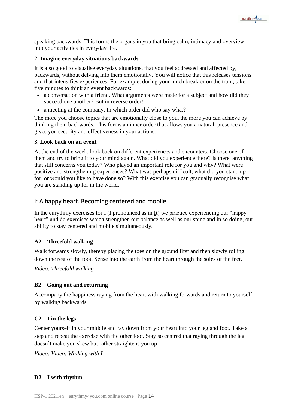speaking backwards. This forms the organs in you that bring calm, intimacy and overview into your activities in everyday life.

eurythmy/vou

#### **2. Imagine everyday situations backwards**

It is also good to visualise everyday situations, that you feel addressed and affected by, backwards, without delving into them emotionally. You will notice that this releases tensions and that intensifies experiences. For example, during your lunch break or on the train, take five minutes to think an event backwards:

- a conversation with a friend. What arguments were made for a subject and how did they succeed one another? But in reverse order!
- a meeting at the company. In which order did who say what?

The more you choose topics that are emotionally close to you, the more you can achieve by thinking them backwards. This forms an inner order that allows you a natural presence and gives you security and effectiveness in your actions.

#### **3. Look back on an event**

At the end of the week, look back on different experiences and encounters. Choose one of them and try to bring it to your mind again. What did you experience there? Is there anything that still concerns you today? Who played an important role for you and why? What were positive and strengthening experiences? What was perhaps difficult, what did you stand up for, or would you like to have done so? With this exercise you can gradually recognise what you are standing up for in the world.

#### I: A happy heart. Becoming centered and mobile.

In the eurythmy exercises for I (I pronounced as in It) we practice experiencing our "happy heart" and do exercises which strengthen our balance as well as our spine and in so doing, our ability to stay centered and mobile simultaneously.

#### **A2 Threefold walking**

Walk forwards slowly, thereby placing the toes on the ground first and then slowly rolling down the rest of the foot. Sense into the earth from the heart through the soles of the feet.

*Video: Threefold walking*

#### **B2 Going out and returning**

Accompany the happiness raying from the heart with walking forwards and return to yourself by walking backwards

#### **C2 I in the legs**

Center yourself in your middle and ray down from your heart into your leg and foot. Take a step and repeat the exercise with the other foot. Stay so centred that raying through the leg doesn`t make you skew but rather straightens you up.

*Video: Video: Walking with I*

#### **D2 I with rhythm**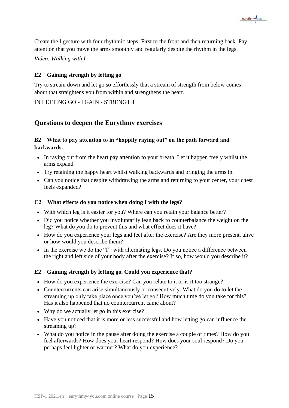Create the I gesture with four rhythmic steps. First to the front and then returning back. Pay attention that you move the arms smoothly and regularly despite the rhythm in the legs.

eurythmy/vou

*Video: Walking with I*

#### **E2 Gaining strength by letting go**

Try to stream down and let go so effortlessly that a stream of strength from below comes about that straightens you from within and strengthens the heart.

#### IN LETTING GO - I GAIN - STRENGTH

# **Questions to deepen the Eurythmy exercises**

# **B2 What to pay attention to in "happily raying out" on the path forward and backwards.**

- In raying out from the heart pay attention to your breath. Let it happen freely whilst the arms expand.
- Try retaining the happy heart whilst walking backwards and bringing the arms in.
- Can you notice that despite withdrawing the arms and returning to your center, your chest feels expanded?

#### **C2 What effects do you notice when doing I with the legs?**

- With which leg is it easier for you? Where can you retain your balance better?
- Did you notice whether you involuntarily lean back to counterbalance the weight on the leg? What do you do to prevent this and what effect does it have?
- How do you experience your legs and feet after the exercise? Are they more present, alive or how would you describe them?
- In the exercise we do the "I" with alternating legs. Do you notice a difference between the right and left side of your body after the exercise? If so, how would you describe it?

#### **E2 Gaining strength by letting go. Could you experience that?**

- How do you experience the exercise? Can you relate to it or is it too strange?
- Countercurrents can arise simultaneously or consecutively. What do you do to let the streaming up only take place once you've let go? How much time do you take for this? Has it also happened that no countercurrent came about?
- Why do we actually let go in this exercise?
- Have you noticed that it is more or less successful and how letting go can influence the streaming up?
- What do you notice in the pause after doing the exercise a couple of times? How do you feel afterwards? How does your heart respond? How does your soul respond? Do you perhaps feel lighter or warmer? What do you experience?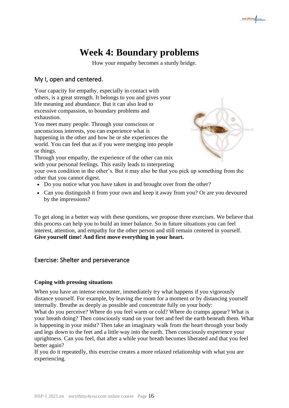# **Week 4: Boundary problems**

How your empathy becomes a sturdy bridge.

# My I, open and centered.

Your capacity for empathy, especially in contact with others, is a great strength. It belongs to you and gives your life meaning and abundance. But it can also lead to excessive compassion, to boundary problems and exhaustion.

You meet many people. Through your conscious or unconscious interests, you can experience what is happening in the other and how he or she experiences the world. You can feel that as if you were merging into people or things.

Through your empathy, the experience of the other can mix with your personal feelings. This easily leads to interpreting

your own condition in the other's. But it may also be that you pick up something from the other that you cannot digest.

- Do you notice what you have taken in and brought over from the other?
- Can you distinguish it from your own and keep it away from you? Or are you devoured by the impressions?

To get along in a better way with these questions, we propose three exercises. We believe that this process can help you to build an inner balance. So in future situations you can feel interest, attention, and empathy for the other person and still remain centered in yourself. **Give yourself time! And first move everything in your heart.**

# Exercise: Shelter and perseverance

#### **Coping with pressing situations**

When you have an intense encounter, immediately try what happens if you vigorously distance yourself. For example, by leaving the room for a moment or by distancing yourself internally. Breathe as deeply as possible and concentrate fully on your body:

What do you perceive? Where do you feel warm or cold? Where do cramps appear? What is your breath doing? Then consciously stand on your feet and feel the earth beneath them. What is happening in your midst? Then take an imaginary walk from the heart through your body and legs down to the feet and a little way into the earth. Then consciously experience your uprightness. Can you feel, that after a while your breath becomes liberated and that you feel better again?

If you do it repeatedly, this exercise creates a more relaxed relationship with what you are experiencing.



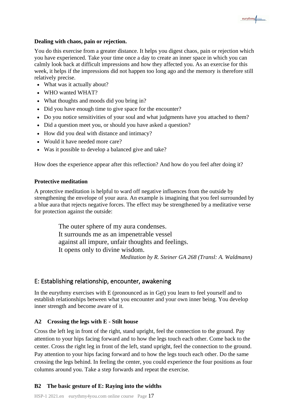#### **Dealing with chaos, pain or rejection.**

You do this exercise from a greater distance. It helps you digest chaos, pain or rejection which you have experienced. Take your time once a day to create an inner space in which you can calmly look back at difficult impressions and how they affected you. As an exercise for this week, it helps if the impressions did not happen too long ago and the memory is therefore still relatively precise.

eurythmy/vou

- What was it actually about?
- WHO wanted WHAT?
- What thoughts and moods did you bring in?
- Did you have enough time to give space for the encounter?
- Do you notice sensitivities of your soul and what judgments have you attached to them?
- Did a question meet you, or should you have asked a question?
- How did you deal with distance and intimacy?
- Would it have needed more care?
- Was it possible to develop a balanced give and take?

How does the experience appear after this reflection? And how do you feel after doing it?

#### **Protective meditation**

A protective meditation is helpful to ward off negative influences from the outside by strengthening the envelope of your aura. An example is imagining that you feel surrounded by a blue aura that rejects negative forces. The effect may be strengthened by a meditative verse for protection against the outside:

> The outer sphere of my aura condenses. It surrounds me as an impenetrable vessel against all impure, unfair thoughts and feelings. It opens only to divine wisdom. *Meditation by R. Steiner GA 268 (Transl: A. Waldmann)*

# E: Establishing relationship, encounter, awakening

In the eurythmy exercises with E (pronounced as in Get) you learn to feel yourself and to establish relationships between what you encounter and your own inner being. You develop inner strength and become aware of it.

# **A2 Crossing the legs with E - Stilt house**

Cross the left leg in front of the right, stand upright, feel the connection to the ground. Pay attention to your hips facing forward and to how the legs touch each other. Come back to the center. Cross the right leg in front of the left, stand upright, feel the connection to the ground. Pay attention to your hips facing forward and to how the legs touch each other. Do the same crossing the legs behind. In feeling the center, you could experience the four positions as four columns around you. Take a step forwards and repeat the exercise.

# **B2 The basic gesture of E: Raying into the widths**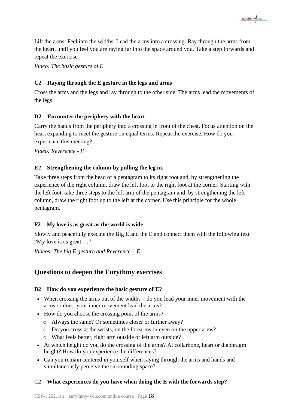Lift the arms. Feel into the widths. Lead the arms into a crossing. Ray through the arms from the heart, until you feel you are raying far into the space around you. Take a step forwards and repeat the exercise.

eurythmy/vou

*Video: The basic gesture of E*

#### **C2 Raying through the E gesture in the legs and arms**

Cross the arms and the legs and ray through to the other side. The arms lead the movements of the legs.

#### **D2 Encounter the periphery with the heart**

Carry the hands from the periphery into a crossing in front of the chest. Focus attention on the heart expanding to meet the gesture on equal terms. Repeat the exercise. How do you experience this meeting?

*Video: Reverence - E*

#### **E2 Strengthening the column by pulling the leg in.**

Take three steps from the head of a pentagram to its right foot and, by strengthening the experience of the right column, draw the left foot to the right foot at the corner. Starting with the left foot, take three steps to the left arm of the pentagram and, by strengthening the left column, draw the right foot up to the left at the corner. Use this principle for the whole pentagram.

#### **F2 My love is as great as the world is wide**

Slowly and peacefully execute the Big E and the E and connect them with the following text "My love is as great…."

*Videos: The big E gesture and Reverence – E*

# **Questions to deepen the Eurythmy exercises**

#### **B2 How do you experience the basic gesture of E?**

- When crossing the arms out of the widths do you lead your inner movement with the arms or does your inner movement lead the arms?
- How do you choose the crossing point of the arms?
	- o Always the same? Or sometimes closer or further away?
	- o Do you cross at the wrists, on the forearms or even on the upper arms?
	- o What feels better, right arm outside or left arm outside?
- At which height do you do the crossing of the arms? At collarbone, heart or diaphragm height? How do you experience the differences?
- Can you remain centered in yourself when raying through the arms and hands and simultaneously perceive the surrounding space?

#### C2 **What experiences do you have when doing the E with the forwards step?**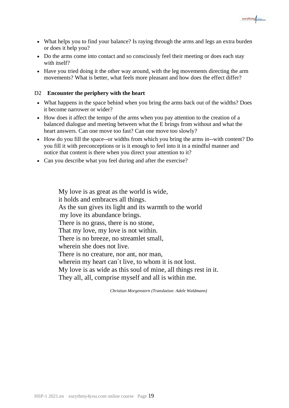

- What helps you to find your balance? Is raying through the arms and legs an extra burden or does it help you?
- Do the arms come into contact and so consciously feel their meeting or does each stay with itself?
- Have you tried doing it the other way around, with the leg movements directing the arm movements? What is better, what feels more pleasant and how does the effect differ?

#### D2 **Encounter the periphery with the heart**

- What happens in the space behind when you bring the arms back out of the widths? Does it become narrower or wider?
- How does it affect the tempo of the arms when you pay attention to the creation of a balanced dialogue and meeting between what the E brings from without and what the heart answers. Can one move too fast? Can one move too slowly?
- How do you fill the space--or widths from which you bring the arms in--with content? Do you fill it with preconceptions or is it enough to feel into it in a mindful manner and notice that content is there when you direct your attention to it?
- Can you describe what you feel during and after the exercise?

My love is as great as the world is wide, it holds and embraces all things. As the sun gives its light and its warmth to the world my love its abundance brings. There is no grass, there is no stone, That my love, my love is not within. There is no breeze, no streamlet small, wherein she does not live. There is no creature, nor ant, nor man. wherein my heart can`t live, to whom it is not lost. My love is as wide as this soul of mine, all things rest in it. They all, all, comprise myself and all is within me.

*Christian Morgenstern (Translation: Adele Waldmann)*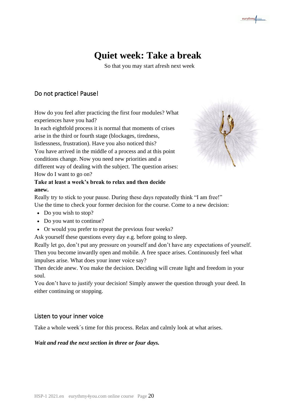# **Quiet week: Take a break**

So that you may start afresh next week

# Do not practice! Pause!

How do you feel after practicing the first four modules? What experiences have you had?

In each eightfold process it is normal that moments of crises arise in the third or fourth stage (blockages, tiredness, listlessness, frustration). Have you also noticed this? You have arrived in the middle of a process and at this point conditions change. Now you need new priorities and a different way of dealing with the subject. The question arises:



eurythmy/vou

# **Take at least a week's break to relax and then decide anew.**

Really try to stick to your pause. During these days repeatedly think "I am free!" Use the time to check your former decision for the course. Come to a new decision:

• Do you wish to stop?

How do I want to go on?

- Do you want to continue?
- Or would you prefer to repeat the previous four weeks?

Ask yourself these questions every day e.g. before going to sleep.

Really let go, don't put any pressure on yourself and don't have any expectations of yourself. Then you become inwardly open and mobile. A free space arises. Continuously feel what impulses arise. What does your inner voice say?

Then decide anew. You make the decision. Deciding will create light and freedom in your soul.

You don't have to justify your decision! Simply answer the question through your deed. In either continuing or stopping.

# Listen to your inner voice

Take a whole week´s time for this process. Relax and calmly look at what arises.

#### *Wait and read the next section in three or four days.*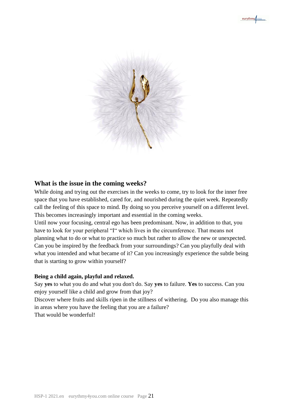

# **What is the issue in the coming weeks?**

While doing and trying out the exercises in the weeks to come, try to look for the inner free space that you have established, cared for, and nourished during the quiet week. Repeatedly call the feeling of this space to mind. By doing so you perceive yourself on a different level. This becomes increasingly important and essential in the coming weeks.

Until now your focusing, central ego has been predominant. Now, in addition to that, you have to look for your peripheral "I" which lives in the circumference. That means not planning what to do or what to practice so much but rather to allow the new or unexpected. Can you be inspired by the feedback from your surroundings? Can you playfully deal with what you intended and what became of it? Can you increasingly experience the subtle being that is starting to grow within yourself?

#### **Being a child again, playful and relaxed.**

Say **yes** to what you do and what you don't do. Say **yes** to failure. **Yes** to success. Can you enjoy yourself like a child and grow from that joy? Discover where fruits and skills ripen in the stillness of withering. Do you also manage this in areas where you have the feeling that you are a failure?

That would be wonderful!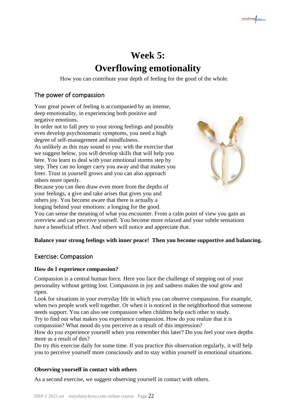# **Week 5: Overflowing emotionality**

How you can contribute your depth of feeling for the good of the whole.

# The power of compassion

Your great power of feeling is accompanied by an intense, deep emotionality, in experiencing both positive and negative emotions.

In order not to fall prey to your strong feelings and possibly even develop psychosomatic symptoms, you need a high degree of self-management and mindfulness.

As unlikely as this may sound to you: with the exercise that we suggest below, you will develop skills that will help you here. You learn to deal with your emotional storms step by step. They can no longer carry you away and that makes you freer. Trust in yourself grows and you can also approach others more openly.

Because you can then draw even more from the depths of your feelings, a give and take arises that gives you and others joy. You become aware that there is actually a longing behind your emotions: a longing for the good.



You can sense the meaning of what you encounter. From a calm point of view you gain an overview and can perceive yourself. You become more relaxed and your subtle sensations have a beneficial effect. And others will notice and appreciate that.

# **Balance your strong feelings with inner peace! Then you become supportive and balancing.**

# Exercise: Compassion

#### **How do I experience compassion?**

Compassion is a central human force. Here you face the challenge of stepping out of your personality without getting lost. Compassion in joy and sadness makes the soul grow and ripen.

Look for situations in your everyday life in which you can observe compassion. For example, when two people work well together. Or when it is noticed in the neighborhood that someone needs support. You can also see compassion when children help each other to study.

Try to find out what makes you experience compassion. How do you realize that it is compassion? What mood do you perceive as a result of this impression?

How do you experience yourself when you remember this later? Do you feel your own depths more as a result of this?

Do try this exercise daily for some time. If you practice this observation regularly, it will help you to perceive yourself more consciously and to stay within yourself in emotional situations.

#### **Observing yourself in contact with others**

As a second exercise, we suggest observing yourself in contact with others.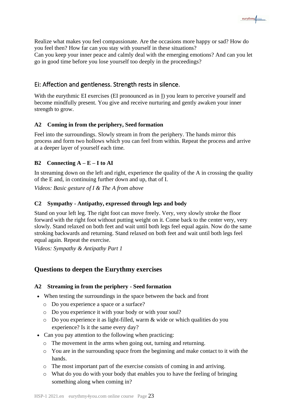eurythmy/vou

Realize what makes you feel compassionate. Are the occasions more happy or sad? How do you feel then? How far can you stay with yourself in these situations?

Can you keep your inner peace and calmly deal with the emerging emotions? And can you let go in good time before you lose yourself too deeply in the proceedings?

# Ei: Affection and gentleness. Strength rests in silence.

With the eurythmic EI exercises (EI pronounced as in I) you learn to perceive yourself and become mindfully present. You give and receive nurturing and gently awaken your inner strength to grow.

#### **A2 Coming in from the periphery, Seed formation**

Feel into the surroundings. Slowly stream in from the periphery. The hands mirror this process and form two hollows which you can feel from within. Repeat the process and arrive at a deeper layer of yourself each time.

#### **B2** Connecting  $A - E - I$  to  $AI$

In streaming down on the left and right, experience the quality of the A in crossing the quality of the E and, in continuing further down and up, that of I.

*Videos: Basic gesture of I & The A from above*

#### **C2 Sympathy - Antipathy, expressed through legs and body**

Stand on your left leg. The right foot can move freely. Very, very slowly stroke the floor forward with the right foot without putting weight on it. Come back to the center very, very slowly. Stand relaxed on both feet and wait until both legs feel equal again. Now do the same stroking backwards and returning. Stand relaxed on both feet and wait until both legs feel equal again. Repeat the exercise.

*Videos: Sympathy & Antipathy Part 1*

#### **Questions to deepen the Eurythmy exercises**

#### **A2 Streaming in from the periphery - Seed formation**

- When testing the surroundings in the space between the back and front
	- o Do you experience a space or a surface?
	- o Do you experience it with your body or with your soul?
	- o Do you experience it as light-filled, warm & wide or which qualities do you experience? Is it the same every day?
- Can you pay attention to the following when practicing:
	- o The movement in the arms when going out, turning and returning.
	- o You are in the surrounding space from the beginning and make contact to it with the hands.
	- o The most important part of the exercise consists of coming in and arriving.
	- o What do you do with your body that enables you to have the feeling of bringing something along when coming in?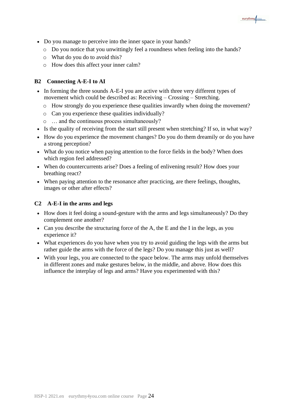- Do you manage to perceive into the inner space in your hands?
	- o Do you notice that you unwittingly feel a roundness when feeling into the hands?
	- o What do you do to avoid this?
	- o How does this affect your inner calm?

#### **B2 Connecting A-E-I to AI**

- In forming the three sounds A-E-I you are active with three very different types of movement which could be described as: Receiving – Crossing – Stretching.
	- o How strongly do you experience these qualities inwardly when doing the movement?
	- o Can you experience these qualities individually?
	- o … and the continuous process simultaneously?
- Is the quality of receiving from the start still present when stretching? If so, in what way?
- How do you experience the movement changes? Do you do them dreamily or do you have a strong perception?
- What do you notice when paying attention to the force fields in the body? When does which region feel addressed?
- When do countercurrents arise? Does a feeling of enlivening result? How does your breathing react?
- When paying attention to the resonance after practicing, are there feelings, thoughts, images or other after effects?

#### **C2 A-E-I in the arms and legs**

- How does it feel doing a sound-gesture with the arms and legs simultaneously? Do they complement one another?
- Can you describe the structuring force of the A, the E and the I in the legs, as you experience it?
- What experiences do you have when you try to avoid guiding the legs with the arms but rather guide the arms with the force of the legs? Do you manage this just as well?
- With your legs, you are connected to the space below. The arms may unfold themselves in different zones and make gestures below, in the middle, and above. How does this influence the interplay of legs and arms? Have you experimented with this?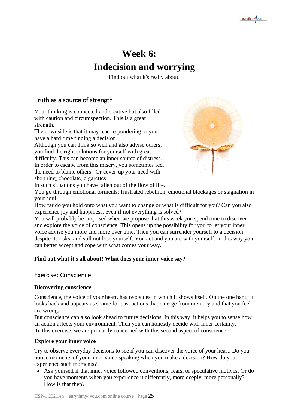# **Week 6: Indecision and worrying**

Find out what it's really about.

# Truth as a source of strength

Your thinking is connected and creative but also filled with caution and circumspection. This is a great strength.

The downside is that it may lead to pondering or you have a hard time finding a decision.

Although you can think so well and also advise others, you find the right solutions for yourself with great

difficulty. This can become an inner source of distress. In order to escape from this misery, you sometimes feel the need to blame others. Or cover-up your need with shopping, chocolate, cigarettes...



In such situations you have fallen out of the flow of life.

You go through emotional torments: frustrated rebellion, emotional blockages or stagnation in your soul.

How far do you hold onto what you want to change or what is difficult for you? Can you also experience joy and happiness, even if not everything is solved?

You will probably be surprised when we propose that this week you spend time to discover and explore the voice of conscience. This opens up the possibility for you to let your inner voice advise you more and more over time. Then you can surrender yourself to a decision despite its risks, and still not lose yourself. You act and you are with yourself. In this way you can better accept and cope with what comes your way.

# **Find out what it's all about! What does your inner voice say?**

# Exercise: Conscience

# **Discovering conscience**

Conscience, the voice of your heart, has two sides in which it shows itself. On the one hand, it looks back and appears as shame for past actions that emerge from memory and that you feel are wrong.

But conscience can also look ahead to future decisions. In this way, it helps you to sense how an action affects your environment. Then you can honestly decide with inner certainty. In this exercise, we are primarily concerned with this second aspect of conscience:

# **Explore your inner voice**

Try to observe everyday decisions to see if you can discover the voice of your heart. Do you notice moments of your inner voice speaking when you make a decision? How do you experience such moments?

• Ask yourself if that inner voice followed conventions, fears, or speculative motives. Or do you have moments when you experience it differently, more deeply, more personally? How is that then?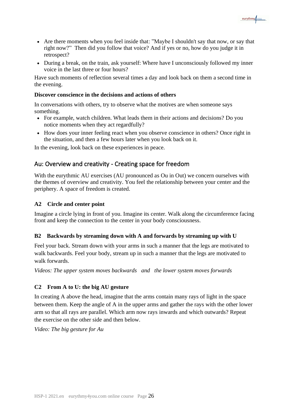• Are there moments when you feel inside that: "Maybe I shouldn't say that now, or say that right now?" Then did you follow that voice? And if yes or no, how do you judge it in retrospect?

eurythmy vou

• During a break, on the train, ask yourself: Where have I unconsciously followed my inner voice in the last three or four hours?

Have such moments of reflection several times a day and look back on them a second time in the evening.

#### **Discover conscience in the decisions and actions of others**

In conversations with others, try to observe what the motives are when someone says something.

- For example, watch children. What leads them in their actions and decisions? Do you notice moments when they act regardfully?
- How does your inner feeling react when you observe conscience in others? Once right in the situation, and then a few hours later when you look back on it.

In the evening, look back on these experiences in peace.

#### Au: Overview and creativity - Creating space for freedom

With the eurythmic AU exercises (AU pronounced as Ou in Out) we concern ourselves with the themes of overview and creativity. You feel the relationship between your center and the periphery. A space of freedom is created.

#### **A2 Circle and center point**

Imagine a circle lying in front of you. Imagine its center. Walk along the circumference facing front and keep the connection to the center in your body consciousness.

#### **B2 Backwards by streaming down with A and forwards by streaming up with U**

Feel your back. Stream down with your arms in such a manner that the legs are motivated to walk backwards. Feel your body, stream up in such a manner that the legs are motivated to walk forwards.

*Videos: The upper system moves backwards and the lower system moves forwards*

#### **C2 From A to U: the big AU gesture**

In creating A above the head, imagine that the arms contain many rays of light in the space between them. Keep the angle of A in the upper arms and gather the rays with the other lower arm so that all rays are parallel. Which arm now rays inwards and which outwards? Repeat the exercise on the other side and then below.

*Video: The big gesture for Au*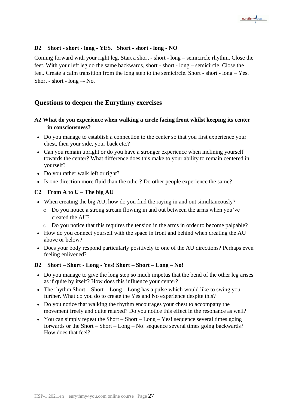

#### **D2 Short - short - long - YES. Short - short - long - NO**

Coming forward with your right leg. Start a short - short - long – semicircle rhythm. Close the feet. With your left leg do the same backwards, short - short - long – semicircle. Close the feet. Create a calm transition from the long step to the semicircle. Short - short - long – Yes. Short - short - long –- No.

### **Questions to deepen the Eurythmy exercises**

#### **A2 What do you experience when walking a circle facing front whilst keeping its center in consciousness?**

- Do you manage to establish a connection to the center so that you first experience your chest, then your side, your back etc.?
- Can you remain upright or do you have a stronger experience when inclining yourself towards the center? What difference does this make to your ability to remain centered in yourself?
- Do you rather walk left or right?
- Is one direction more fluid than the other? Do other people experience the same?

#### **C2 From A to U – The big AU**

- When creating the big AU, how do you find the raying in and out simultaneously?
	- o Do you notice a strong stream flowing in and out between the arms when you've created the AU?
	- o Do you notice that this requires the tension in the arms in order to become palpable?
- How do you connect yourself with the space in front and behind when creating the AU above or below?
- Does your body respond particularly positively to one of the AU directions? Perhaps even feeling enlivened?

#### **D2 Short – Short - Long - Yes! Short – Short – Long – No!**

- Do you manage to give the long step so much impetus that the bend of the other leg arises as if quite by itself? How does this influence your center?
- The rhythm Short Short Long Long has a pulse which would like to swing you further. What do you do to create the Yes and No experience despite this?
- Do you notice that walking the rhythm encourages your chest to accompany the movement freely and quite relaxed? Do you notice this effect in the resonance as well?
- You can simply repeat the Short Short Long Yes! sequence several times going forwards or the Short – Short – Long – No! sequence several times going backwards? How does that feel?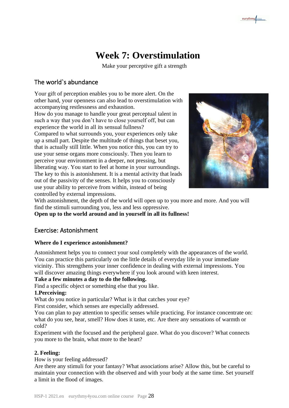# **Week 7: Overstimulation**

Make your perceptive gift a strength

# The world`s abundance

Your gift of perception enables you to be more alert. On the other hand, your openness can also lead to overstimulation with accompanying restlessness and exhaustion.

How do you manage to handle your great perceptual talent in such a way that you don't have to close yourself off, but can experience the world in all its sensual fullness?

Compared to what surrounds you, your experiences only take up a small part. Despite the multitude of things that beset you, that is actually still little. When you notice this, you can try to use your sense organs more consciously. Then you learn to perceive your environment in a deeper, not pressing, but liberating way. You start to feel at home in your surroundings. The key to this is astonishment. It is a mental activity that leads out of the passivity of the senses. It helps you to consciously use your ability to perceive from within, instead of being controlled by external impressions.



With astonishment, the depth of the world will open up to you more and more. And you will find the stimuli surrounding you, less and less oppressive.

**Open up to the world around and in yourself in all its fullness!**

# Exercise: Astonishment

#### **Where do I experience astonishment?**

Astonishment helps you to connect your soul completely with the appearances of the world. You can practice this particularly on the little details of everyday life in your immediate vicinity. This strengthens your inner confidence in dealing with external impressions. You will discover amazing things everywhere if you look around with keen interest.

#### **Take a few minutes a day to do the following.**

Find a specific object or something else that you like.

#### **1.Perceiving:**

What do you notice in particular? What is it that catches your eye?

First consider, which senses are especially addressed.

You can plan to pay attention to specific senses while practicing. For instance concentrate on: what do you see, hear, smell? How does it taste, etc. Are there any sensations of warmth or cold?

Experiment with the focused and the peripheral gaze. What do you discover? What connects you more to the brain, what more to the heart?

# **2. Feeling:**

How is your feeling addressed?

Are there any stimuli for your fantasy? What associations arise? Allow this, but be careful to maintain your connection with the observed and with your body at the same time. Set yourself a limit in the flood of images.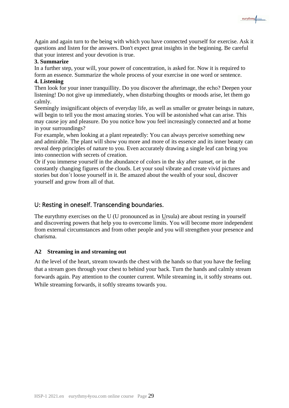Again and again turn to the being with which you have connected yourself for exercise. Ask it questions and listen for the answers. Don't expect great insights in the beginning. Be careful that your interest and your devotion is true.

eurythmy/vou

#### **3. Summarize**

In a further step, your will, your power of concentration, is asked for. Now it is required to form an essence. Summarize the whole process of your exercise in one word or sentence. **4. Listening**

Then look for your inner tranquillity. Do you discover the afterimage, the echo? Deepen your listening! Do not give up immediately, when disturbing thoughts or moods arise, let them go calmly.

Seemingly insignificant objects of everyday life, as well as smaller or greater beings in nature, will begin to tell you the most amazing stories. You will be astonished what can arise. This may cause joy and pleasure. Do you notice how you feel increasingly connected and at home in your surroundings?

For example, when looking at a plant repeatedly: You can always perceive something new and admirable. The plant will show you more and more of its essence and its inner beauty can reveal deep principles of nature to you. Even accurately drawing a single leaf can bring you into connection with secrets of creation.

Or if you immerse yourself in the abundance of colors in the sky after sunset, or in the constantly changing figures of the clouds. Let your soul vibrate and create vivid pictures and stories but don´t loose yourself in it. Be amazed about the wealth of your soul, discover yourself and grow from all of that.

### U: Resting in oneself. Transcending boundaries.

The eurythmy exercises on the U (U pronounced as in Ursula) are about resting in yourself and discovering powers that help you to overcome limits. You will become more independent from external circumstances and from other people and you will strengthen your presence and charisma.

#### **A2 Streaming in and streaming out**

At the level of the heart, stream towards the chest with the hands so that you have the feeling that a stream goes through your chest to behind your back. Turn the hands and calmly stream forwards again. Pay attention to the counter current. While streaming in, it softly streams out. While streaming forwards, it softly streams towards you.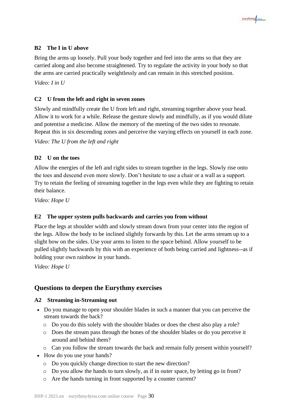

#### **B2 The I in U above**

Bring the arms up loosely. Pull your body together and feel into the arms so that they are carried along and also become straightened. Try to regulate the activity in your body so that the arms are carried practically weightlessly and can remain in this stretched position.

*Video: I in U*

#### **C2 U from the left and right in seven zones**

Slowly and mindfully create the U from left and right, streaming together above your head. Allow it to work for a while. Release the gesture slowly and mindfully, as if you would dilute and potentise a medicine. Allow the memory of the meeting of the two sides to resonate. Repeat this in six descending zones and perceive the varying effects on yourself in each zone.

*Video: The U from the left and right*

#### **D2 U on the toes**

Allow the energies of the left and right sides to stream together in the legs. Slowly rise onto the toes and descend even more slowly. Don't hesitate to use a chair or a wall as a support. Try to retain the feeling of streaming together in the legs even while they are fighting to retain their balance.

*Video: Hope U*

#### **E2 The upper system pulls backwards and carries you from without**

Place the legs at shoulder width and slowly stream down from your center into the region of the legs. Allow the body to be inclined slightly forwards by this. Let the arms stream up to a slight bow on the sides. Use your arms to listen to the space behind. Allow yourself to be pulled slightly backwards by this with an experience of both being carried and lightness--as if holding your own rainbow in your hands.

*Video: Hope U*

# **Questions to deepen the Eurythmy exercises**

#### **A2 Streaming in-Streaming out**

- Do you manage to open your shoulder blades in such a manner that you can perceive the stream towards the back?
	- o Do you do this solely with the shoulder blades or does the chest also play a role?
	- o Does the stream pass through the bones of the shoulder blades or do you perceive it around and behind them?
	- o Can you follow the stream towards the back and remain fully present within yourself?
- How do you use your hands?
	- o Do you quickly change direction to start the new direction?
	- o Do you allow the hands to turn slowly, as if in outer space, by letting go in front?
	- o Are the hands turning in front supported by a counter current?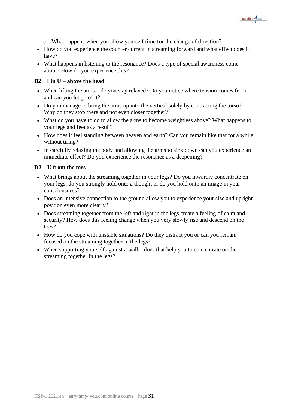

- o What happens when you allow yourself time for the change of direction?
- How do you experience the counter current in streaming forward and what effect does it have?
- What happens in listening to the resonance? Does a type of special awareness come about? How do you experience this?

#### **B2 I in U – above the head**

- When lifting the arms do you stay relaxed? Do you notice where tension comes from, and can you let go of it?
- Do you manage to bring the arms up into the vertical solely by contracting the torso? Why do they stop there and not even closer together?
- What do you have to do to allow the arms to become weightless above? What happens to your legs and feet as a result?
- How does it feel standing between heaven and earth? Can you remain like that for a while without tiring?
- In carefully relaxing the body and allowing the arms to sink down can you experience an immediate effect? Do you experience the resonance as a deepening?

#### **D2 U from the toes**

- What brings about the streaming together in your legs? Do you inwardly concentrate on your legs; do you strongly hold onto a thought or do you hold onto an image in your consciousness?
- Does an intensive connection to the ground allow you to experience your size and upright position even more clearly?
- Does streaming together from the left and right in the legs create a feeling of calm and security? How does this feeling change when you very slowly rise and descend on the toes?
- How do you cope with unstable situations? Do they distract you or can you remain focused on the streaming together in the legs?
- When supporting yourself against a wall does that help you to concentrate on the streaming together in the legs?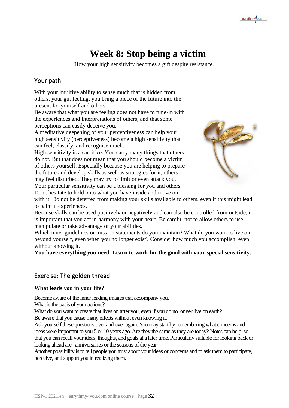# **Week 8: Stop being a victim**

How your high sensitivity becomes a gift despite resistance.

# Your path

With your intuitive ability to sense much that is hidden from others, your gut feeling, you bring a piece of the future into the present for yourself and others.

Be aware that what you are feeling does not have to tune-in with the experiences and interpretations of others, and that some perceptions can easily deceive you.

A meditative deepening of your perceptiveness can help your high sensitivity (perceptiveness) become a high sensitivity that can feel, classify, and recognise much.

High sensitivity is a sacrifice. You carry many things that others do not. But that does not mean that you should become a victim of others yourself. Especially because you are helping to prepare the future and develop skills as well as strategies for it, others may feel disturbed. They may try to limit or even attack you. Your particular sensitivity can be a blessing for you and others.

Don't hesitate to hold onto what you have inside and move on



eurythmy/vou

with it. Do not be deterred from making your skills available to others, even if this might lead to painful experiences.

Because skills can be used positively or negatively and can also be controlled from outside, it is important that you act in harmony with your heart. Be careful not to allow others to use, manipulate or take advantage of your abilities.

Which inner guidelines or mission statements do you maintain? What do you want to live on beyond yourself, even when you no longer exist? Consider how much you accomplish, even without knowing it.

**You have everything you need. Learn to work for the good with your special sensitivity.**

# Exercise: The golden thread

#### **What leads you in your life?**

Become aware of the inner leading images that accompany you.

What is the basis of your actions?

What do you want to create that lives on after you, even if you do no longer live on earth? Be aware that you cause many effects without even knowing it.

Ask yourself these questions over and over again. You may start by remembering what concerns and ideas were important to you 5 or 10 years ago. Are they the same as they are today? Notes can help, so that you can recall your ideas, thoughts, and goals at a later time. Particularly suitable for looking back or looking ahead are anniversaries or the seasons of the year.

Another possibility is to tell people you trust about your ideas or concerns and to ask them to participate, perceive, and support you in realizing them.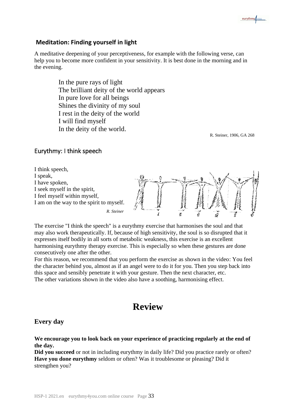# **Meditation: Finding yourself in light**

A meditative deepening of your perceptiveness, for example with the following verse, can help you to become more confident in your sensitivity. It is best done in the morning and in the evening.

> In the pure rays of light The brilliant deity of the world appears In pure love for all beings Shines the divinity of my soul I rest in the deity of the world I will find myself In the deity of the world.

R. Steiner, 1906, GA 268

eurythmy/vou

#### Eurythmy: I think speech



The exercise "I think the speech" is a eurythmy exercise that harmonises the soul and that may also work therapeutically. If, because of high sensitivity, the soul is so disrupted that it expresses itself bodily in all sorts of metabolic weakness, this exercise is an excellent harmonising eurythmy therapy exercise. This is especially so when these gestures are done consecutively one after the other.

For this reason, we recommend that you perform the exercise as shown in the video: You feel the character behind you, almost as if an angel were to do it for you. Then you step back into this space and sensibly penetrate it with your gesture. Then the next character, etc. The other variations shown in the video also have a soothing, harmonising effect.

# **Review**

#### **Every day**

**We encourage you to look back on your experience of practicing regularly at the end of the day.**

**Did you succeed** or not in including eurythmy in daily life? Did you practice rarely or often? **Have you done eurythmy** seldom or often? Was it troublesome or pleasing? Did it strengthen you?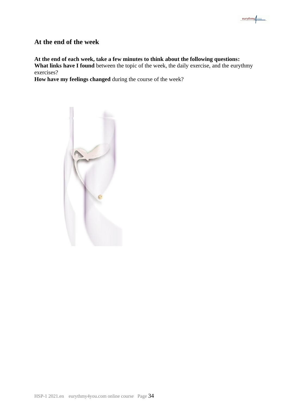

# **At the end of the week**

**At the end of each week, take a few minutes to think about the following questions: What links have I found** between the topic of the week, the daily exercise, and the eurythmy exercises?

**How have my feelings changed** during the course of the week?